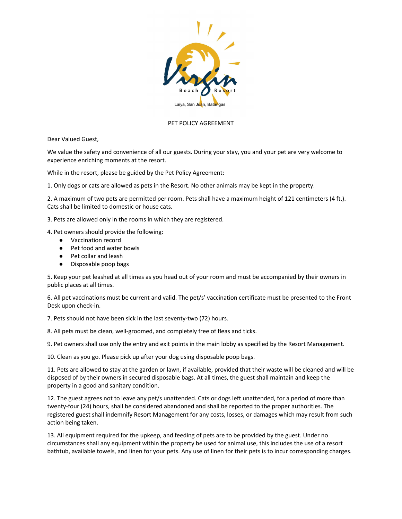

## PET POLICY AGREEMENT

Dear Valued Guest,

We value the safety and convenience of all our guests. During your stay, you and your pet are very welcome to experience enriching moments at the resort.

While in the resort, please be guided by the Pet Policy Agreement:

1. Only dogs or cats are allowed as pets in the Resort. No other animals may be kept in the property.

2. A maximum of two pets are permitted per room. Pets shall have a maximum height of 121 centimeters (4 ft.). Cats shall be limited to domestic or house cats.

3. Pets are allowed only in the rooms in which they are registered.

4. Pet owners should provide the following:

- Vaccination record
- Pet food and water bowls
- Pet collar and leash
- Disposable poop bags

5. Keep your pet leashed at all times as you head out of your room and must be accompanied by their owners in public places at all times.

6. All pet vaccinations must be current and valid. The pet/s' vaccination certificate must be presented to the Front Desk upon check-in.

7. Pets should not have been sick in the last seventy-two (72) hours.

8. All pets must be clean, well-groomed, and completely free of fleas and ticks.

9. Pet owners shall use only the entry and exit points in the main lobby as specified by the Resort Management.

10. Clean as you go. Please pick up after your dog using disposable poop bags.

11. Pets are allowed to stay at the garden or lawn, if available, provided that their waste will be cleaned and will be disposed of by their owners in secured disposable bags. At all times, the guest shall maintain and keep the property in a good and sanitary condition.

12. The guest agrees not to leave any pet/s unattended. Cats or dogs left unattended, for a period of more than twenty-four (24) hours, shall be considered abandoned and shall be reported to the proper authorities. The registered guest shall indemnify Resort Management for any costs, losses, or damages which may result from such action being taken.

13. All equipment required for the upkeep, and feeding of pets are to be provided by the guest. Under no circumstances shall any equipment within the property be used for animal use, this includes the use of a resort bathtub, available towels, and linen for your pets. Any use of linen for their pets is to incur corresponding charges.